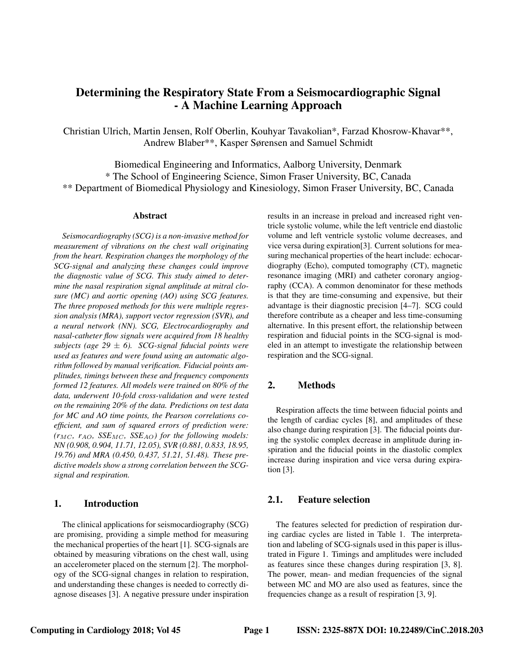# Determining the Respiratory State From a Seismocardiographic Signal - A Machine Learning Approach

Christian Ulrich, Martin Jensen, Rolf Oberlin, Kouhyar Tavakolian\*, Farzad Khosrow-Khavar\*\*, Andrew Blaber\*\*, Kasper Sørensen and Samuel Schmidt

Biomedical Engineering and Informatics, Aalborg University, Denmark \* The School of Engineering Science, Simon Fraser University, BC, Canada \*\* Department of Biomedical Physiology and Kinesiology, Simon Fraser University, BC, Canada

#### Abstract

*Seismocardiography (SCG) is a non-invasive method for measurement of vibrations on the chest wall originating from the heart. Respiration changes the morphology of the SCG-signal and analyzing these changes could improve the diagnostic value of SCG. This study aimed to determine the nasal respiration signal amplitude at mitral closure (MC) and aortic opening (AO) using SCG features. The three proposed methods for this were multiple regression analysis (MRA), support vector regression (SVR), and a neural network (NN). SCG, Electrocardiography and nasal-catheter flow signals were acquired from 18 healthy subjects (age 29* ± *6). SCG-signal fiducial points were used as features and were found using an automatic algorithm followed by manual verification. Fiducial points amplitudes, timings between these and frequency components formed 12 features. All models were trained on 80% of the data, underwent 10-fold cross-validation and were tested on the remaining 20% of the data. Predictions on test data for MC and AO time points, the Pearson correlations coefficient, and sum of squared errors of prediction were:*  $(r_{MC}, r_{AO}, SSE_{MC}, SSE_{AO})$  *for the following models: NN (0.908, 0.904, 11.71, 12.05), SVR (0.881, 0.833, 18.95, 19.76) and MRA (0.450, 0.437, 51.21, 51.48). These predictive models show a strong correlation between the SCGsignal and respiration.*

#### 1. Introduction

The clinical applications for seismocardiography (SCG) are promising, providing a simple method for measuring the mechanical properties of the heart [1]. SCG-signals are obtained by measuring vibrations on the chest wall, using an accelerometer placed on the sternum [2]. The morphology of the SCG-signal changes in relation to respiration, and understanding these changes is needed to correctly diagnose diseases [3]. A negative pressure under inspiration results in an increase in preload and increased right ventricle systolic volume, while the left ventricle end diastolic volume and left ventricle systolic volume decreases, and vice versa during expiration[3]. Current solutions for measuring mechanical properties of the heart include: echocardiography (Echo), computed tomography (CT), magnetic resonance imaging (MRI) and catheter coronary angiography (CCA). A common denominator for these methods is that they are time-consuming and expensive, but their advantage is their diagnostic precision [4–7]. SCG could therefore contribute as a cheaper and less time-consuming alternative. In this present effort, the relationship between respiration and fiducial points in the SCG-signal is modeled in an attempt to investigate the relationship between respiration and the SCG-signal.

## 2. Methods

Respiration affects the time between fiducial points and the length of cardiac cycles [8], and amplitudes of these also change during respiration [3]. The fiducial points during the systolic complex decrease in amplitude during inspiration and the fiducial points in the diastolic complex increase during inspiration and vice versa during expiration [3].

## 2.1. Feature selection

The features selected for prediction of respiration during cardiac cycles are listed in Table 1. The interpretation and labeling of SCG-signals used in this paper is illustrated in Figure 1. Timings and amplitudes were included as features since these changes during respiration [3, 8]. The power, mean- and median frequencies of the signal between MC and MO are also used as features, since the frequencies change as a result of respiration [3, 9].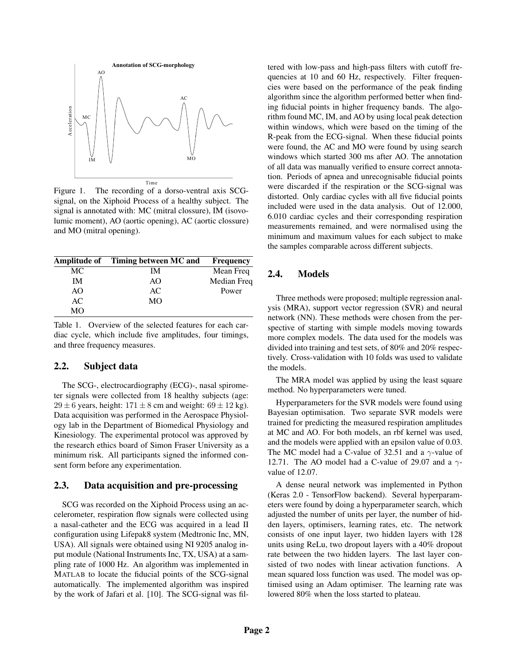

Figure 1. The recording of a dorso-ventral axis SCGsignal, on the Xiphoid Process of a healthy subject. The signal is annotated with: MC (mitral clossure), IM (isovolumic moment), AO (aortic opening), AC (aortic clossure) and MO (mitral opening).

|           | Amplitude of Timing between MC and | Frequency   |
|-----------|------------------------------------|-------------|
| МC        | ΙM                                 | Mean Freq   |
| IМ        | AO                                 | Median Freq |
| AO        | AC                                 | Power       |
| AC        | MO                                 |             |
| <b>MO</b> |                                    |             |

Table 1. Overview of the selected features for each cardiac cycle, which include five amplitudes, four timings, and three frequency measures.

#### 2.2. Subject data

The SCG-, electrocardiography (ECG)-, nasal spirometer signals were collected from 18 healthy subjects (age:  $29 \pm 6$  years, height:  $171 \pm 8$  cm and weight:  $69 \pm 12$  kg). Data acquisition was performed in the Aerospace Physiology lab in the Department of Biomedical Physiology and Kinesiology. The experimental protocol was approved by the research ethics board of Simon Fraser University as a minimum risk. All participants signed the informed consent form before any experimentation.

#### 2.3. Data acquisition and pre-processing

SCG was recorded on the Xiphoid Process using an accelerometer, respiration flow signals were collected using a nasal-catheter and the ECG was acquired in a lead II configuration using Lifepak8 system (Medtronic Inc, MN, USA). All signals were obtained using NI 9205 analog input module (National Instruments Inc, TX, USA) at a sampling rate of 1000 Hz. An algorithm was implemented in MATLAB to locate the fiducial points of the SCG-signal automatically. The implemented algorithm was inspired by the work of Jafari et al. [10]. The SCG-signal was filtered with low-pass and high-pass filters with cutoff frequencies at 10 and 60 Hz, respectively. Filter frequencies were based on the performance of the peak finding algorithm since the algorithm performed better when finding fiducial points in higher frequency bands. The algorithm found MC, IM, and AO by using local peak detection within windows, which were based on the timing of the R-peak from the ECG-signal. When these fiducial points were found, the AC and MO were found by using search windows which started 300 ms after AO. The annotation of all data was manually verified to ensure correct annotation. Periods of apnea and unrecognisable fiducial points were discarded if the respiration or the SCG-signal was distorted. Only cardiac cycles with all five fiducial points included were used in the data analysis. Out of 12.000, 6.010 cardiac cycles and their corresponding respiration measurements remained, and were normalised using the minimum and maximum values for each subject to make the samples comparable across different subjects.

## 2.4. Models

Three methods were proposed; multiple regression analysis (MRA), support vector regression (SVR) and neural network (NN). These methods were chosen from the perspective of starting with simple models moving towards more complex models. The data used for the models was divided into training and test sets, of 80% and 20% respectively. Cross-validation with 10 folds was used to validate the models.

The MRA model was applied by using the least square method. No hyperparameters were tuned.

Hyperparameters for the SVR models were found using Bayesian optimisation. Two separate SVR models were trained for predicting the measured respiration amplitudes at MC and AO. For both models, an rbf kernel was used, and the models were applied with an epsilon value of 0.03. The MC model had a C-value of 32.51 and a  $\gamma$ -value of 12.71. The AO model had a C-value of 29.07 and a  $\gamma$ value of 12.07.

A dense neural network was implemented in Python (Keras 2.0 - TensorFlow backend). Several hyperparameters were found by doing a hyperparameter search, which adjusted the number of units per layer, the number of hidden layers, optimisers, learning rates, etc. The network consists of one input layer, two hidden layers with 128 units using ReLu, two dropout layers with a 40% dropout rate between the two hidden layers. The last layer consisted of two nodes with linear activation functions. A mean squared loss function was used. The model was optimised using an Adam optimiser. The learning rate was lowered 80% when the loss started to plateau.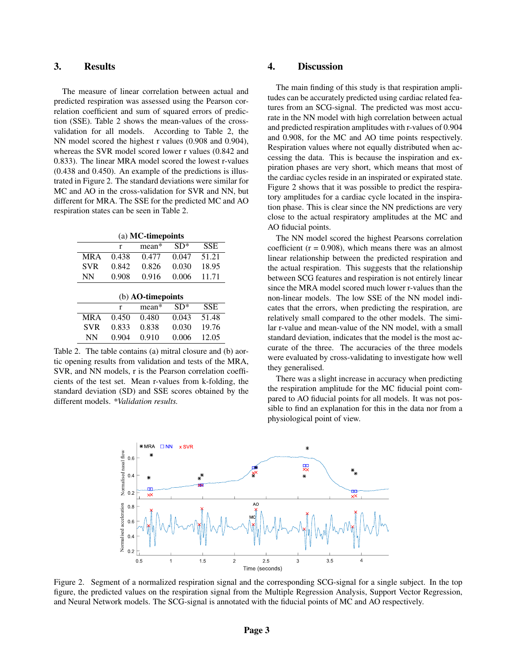#### 3. Results

The measure of linear correlation between actual and predicted respiration was assessed using the Pearson correlation coefficient and sum of squared errors of prediction (SSE). Table 2 shows the mean-values of the crossvalidation for all models. According to Table 2, the NN model scored the highest r values (0.908 and 0.904), whereas the SVR model scored lower r values (0.842 and 0.833). The linear MRA model scored the lowest r-values (0.438 and 0.450). An example of the predictions is illustrated in Figure 2. The standard deviations were similar for MC and AO in the cross-validation for SVR and NN, but different for MRA. The SSE for the predicted MC and AO respiration states can be seen in Table 2.

|  | (a) MC-timepoints |
|--|-------------------|
|--|-------------------|

|                   | r                    | $mean*$       | $SD*$                | <b>SSE</b> |  |  |  |
|-------------------|----------------------|---------------|----------------------|------------|--|--|--|
| <b>MRA</b>        | 0.438                | 0.477         | 0.047                | 51.21      |  |  |  |
| <b>SVR</b>        | 0.842                | 0.826         | 0.030                | 18.95      |  |  |  |
| <b>NN</b>         | 0.908                | 0.916         | 0.006                | 11.71      |  |  |  |
| (b) AO-timepoints |                      |               |                      |            |  |  |  |
|                   | r                    | mean*         | $SD*$                | <b>SSE</b> |  |  |  |
| $\cdots$          | $\sim$ $\sim$ $\sim$ | $\sim$ $\sim$ | $\sim$ $\sim$ $\sim$ | $-1$       |  |  |  |

|      |  | MRA 0.450 0.480 0.043 51.48 |                                                             |  |
|------|--|-----------------------------|-------------------------------------------------------------|--|
|      |  | SVR 0.833 0.838 0.030 19.76 |                                                             |  |
| NN - |  | 0.904 0.910 0.006 12.05     |                                                             |  |
|      |  |                             | Table 2. The table contains (a) mitral closure and (b) aor- |  |

tic opening results from validation and tests of the MRA, SVR, and NN models, r is the Pearson correlation coefficients of the test set. Mean r-values from k-folding, the standard deviation (SD) and SSE scores obtained by the different models. *\*Validation results.*

#### 4. Discussion

The main finding of this study is that respiration amplitudes can be accurately predicted using cardiac related features from an SCG-signal. The predicted was most accurate in the NN model with high correlation between actual and predicted respiration amplitudes with r-values of 0.904 and 0.908, for the MC and AO time points respectively. Respiration values where not equally distributed when accessing the data. This is because the inspiration and expiration phases are very short, which means that most of the cardiac cycles reside in an inspirated or expirated state. Figure 2 shows that it was possible to predict the respiratory amplitudes for a cardiac cycle located in the inspiration phase. This is clear since the NN predictions are very close to the actual respiratory amplitudes at the MC and AO fiducial points.

The NN model scored the highest Pearsons correlation coefficient  $(r = 0.908)$ , which means there was an almost linear relationship between the predicted respiration and the actual respiration. This suggests that the relationship between SCG features and respiration is not entirely linear since the MRA model scored much lower r-values than the non-linear models. The low SSE of the NN model indicates that the errors, when predicting the respiration, are relatively small compared to the other models. The similar r-value and mean-value of the NN model, with a small standard deviation, indicates that the model is the most accurate of the three. The accuracies of the three models were evaluated by cross-validating to investigate how well they generalised.

There was a slight increase in accuracy when predicting the respiration amplitude for the MC fiducial point compared to AO fiducial points for all models. It was not possible to find an explanation for this in the data nor from a physiological point of view.



Figure 2. Segment of a normalized respiration signal and the corresponding SCG-signal for a single subject. In the top figure, the predicted values on the respiration signal from the Multiple Regression Analysis, Support Vector Regression, and Neural Network models. The SCG-signal is annotated with the fiducial points of MC and AO respectively.